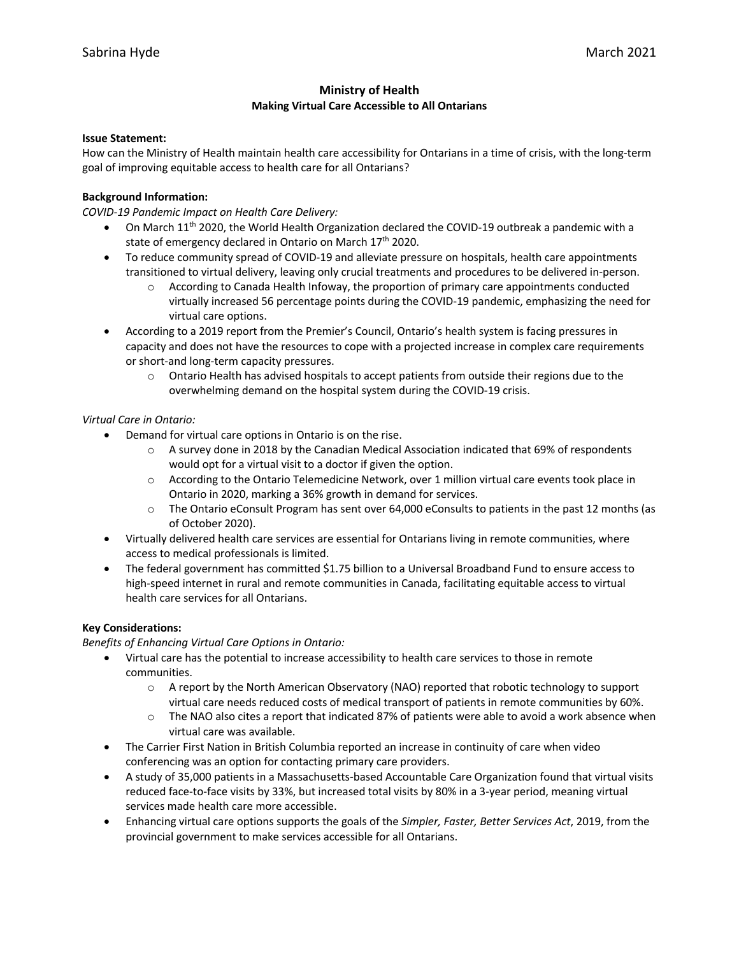# **Ministry of Health Making Virtual Care Accessible to All Ontarians**

### **Issue Statement:**

How can the Ministry of Health maintain health care accessibility for Ontarians in a time of crisis, with the long-term goal of improving equitable access to health care for all Ontarians?

# **Background Information:**

*COVID-19 Pandemic Impact on Health Care Delivery:*

- On March 11<sup>th</sup> 2020, the World Health Organization declared the COVID-19 outbreak a pandemic with a state of emergency declared in Ontario on March 17<sup>th</sup> 2020.
- To reduce community spread of COVID-19 and alleviate pressure on hospitals, health care appointments transitioned to virtual delivery, leaving only crucial treatments and procedures to be delivered in-person.
	- $\circ$  According to Canada Health Infoway, the proportion of primary care appointments conducted virtually increased 56 percentage points during the COVID-19 pandemic, emphasizing the need for virtual care options.
- According to a 2019 report from the Premier's Council, Ontario's health system is facing pressures in capacity and does not have the resources to cope with a projected increase in complex care requirements or short-and long-term capacity pressures.
	- $\circ$  Ontario Health has advised hospitals to accept patients from outside their regions due to the overwhelming demand on the hospital system during the COVID-19 crisis.

### *Virtual Care in Ontario:*

- Demand for virtual care options in Ontario is on the rise.
	- o A survey done in 2018 by the Canadian Medical Association indicated that 69% of respondents would opt for a virtual visit to a doctor if given the option.
	- o According to the Ontario Telemedicine Network, over 1 million virtual care events took place in Ontario in 2020, marking a 36% growth in demand for services.
	- o The Ontario eConsult Program has sent over 64,000 eConsults to patients in the past 12 months (as of October 2020).
- Virtually delivered health care services are essential for Ontarians living in remote communities, where access to medical professionals is limited.
- The federal government has committed \$1.75 billion to a Universal Broadband Fund to ensure access to high-speed internet in rural and remote communities in Canada, facilitating equitable access to virtual health care services for all Ontarians.

### **Key Considerations:**

# *Benefits of Enhancing Virtual Care Options in Ontario:*

- Virtual care has the potential to increase accessibility to health care services to those in remote communities.
	- $\circ$  A report by the North American Observatory (NAO) reported that robotic technology to support virtual care needs reduced costs of medical transport of patients in remote communities by 60%.
	- o The NAO also cites a report that indicated 87% of patients were able to avoid a work absence when virtual care was available.
- The Carrier First Nation in British Columbia reported an increase in continuity of care when video conferencing was an option for contacting primary care providers.
- A study of 35,000 patients in a Massachusetts-based Accountable Care Organization found that virtual visits reduced face-to-face visits by 33%, but increased total visits by 80% in a 3-year period, meaning virtual services made health care more accessible.
- Enhancing virtual care options supports the goals of the *Simpler, Faster, Better Services Act*, 2019, from the provincial government to make services accessible for all Ontarians.